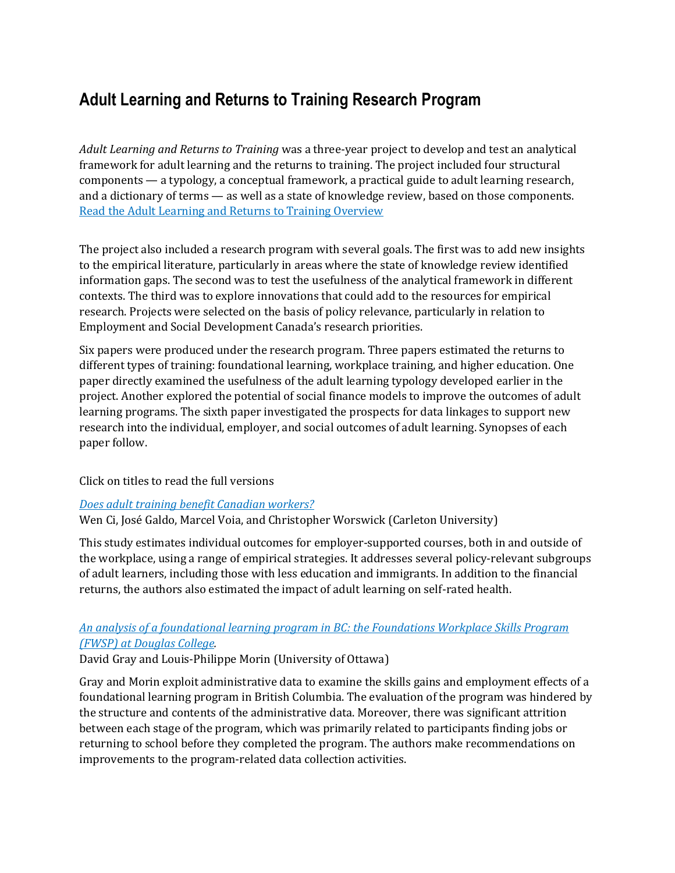# **Adult Learning and Returns to Training Research Program**

*Adult Learning and Returns to Training* was a three-year project to develop and test an analytical framework for adult learning and the returns to training. The project included four structural components — a typology, a conceptual framework, a practical guide to adult learning research, and a dictionary of terms — as well as a state of knowledge review, based on those components. [Read the Adult Learning and Returns to Training Overview](http://www.srdc.org/projects/Adult-Learning-and-Returns-to-Training-details.aspx)

The project also included a research program with several goals. The first was to add new insights to the empirical literature, particularly in areas where the state of knowledge review identified information gaps. The second was to test the usefulness of the analytical framework in different contexts. The third was to explore innovations that could add to the resources for empirical research. Projects were selected on the basis of policy relevance, particularly in relation to Employment and Social Development Canada's research priorities.

Six papers were produced under the research program. Three papers estimated the returns to different types of training: foundational learning, workplace training, and higher education. One paper directly examined the usefulness of the adult learning typology developed earlier in the project. Another explored the potential of social finance models to improve the outcomes of adult learning programs. The sixth paper investigated the prospects for data linkages to support new research into the individual, employer, and social outcomes of adult learning. Synopses of each paper follow.

#### Click on titles to read the full versions

#### *[Does adult training benefit Canadian workers?](http://www.clsrn.econ.ubc.ca/workingpapers/CLSRN%20Working%20Paper%20no.%20124%20-%20Ci,%20Galdo,%20Voia%20&%20Worswick.pdf)*

Wen Ci, José Galdo, Marcel Voia, and Christopher Worswick (Carleton University)

This study estimates individual outcomes for employer-supported courses, both in and outside of the workplace, using a range of empirical strategies. It addresses several policy-relevant subgroups of adult learners, including those with less education and immigrants. In addition to the financial returns, the authors also estimated the impact of adult learning on self-rated health.

#### *[An analysis of a foundational learning program in BC: the Foundations Workplace Skills Program](http://www.clsrn.econ.ubc.ca/workingpapers/CLSRN%20Working%20Paper%20no.%20123%20-%20Gray%20and%20Morin.pdf)  [\(FWSP\) at Douglas College.](http://www.clsrn.econ.ubc.ca/workingpapers/CLSRN%20Working%20Paper%20no.%20123%20-%20Gray%20and%20Morin.pdf)*

David Gray and Louis-Philippe Morin (University of Ottawa)

Gray and Morin exploit administrative data to examine the skills gains and employment effects of a foundational learning program in British Columbia. The evaluation of the program was hindered by the structure and contents of the administrative data. Moreover, there was significant attrition between each stage of the program, which was primarily related to participants finding jobs or returning to school before they completed the program. The authors make recommendations on improvements to the program-related data collection activities.